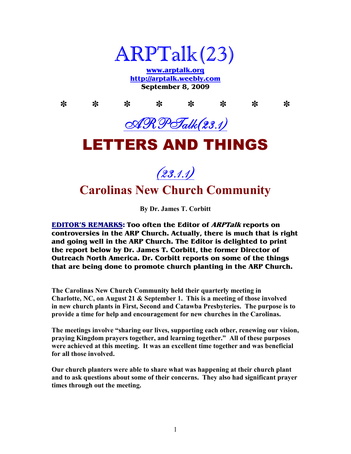

**www.arptalk.org http://arptalk.weebly.com September 8, 2009** 

**\* \* \* \* \* \* \* \***  ARPTalk(23.1) LETTERS AND THINGS

# $(23.1.1)$ **Carolinas New Church Community**

**By Dr. James T. Corbitt** 

**EDITOR'S REMARKS: Too often the Editor of ARPTalk reports on controversies in the ARP Church. Actually, there is much that is right and going well in the ARP Church. The Editor is delighted to print the report below by Dr. James T. Corbitt, the former Director of Outreach North America. Dr. Corbitt reports on some of the things that are being done to promote church planting in the ARP Church.** 

**The Carolinas ew Church Community held their quarterly meeting in Charlotte, C, on August 21 & September 1. This is a meeting of those involved in new church plants in First, Second and Catawba Presbyteries. The purpose is to provide a time for help and encouragement for new churches in the Carolinas.** 

**The meetings involve "sharing our lives, supporting each other, renewing our vision, praying Kingdom prayers together, and learning together." All of these purposes were achieved at this meeting. It was an excellent time together and was beneficial for all those involved.** 

**Our church planters were able to share what was happening at their church plant and to ask questions about some of their concerns. They also had significant prayer times through out the meeting.**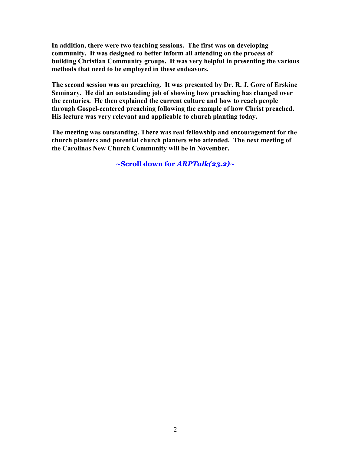**In addition, there were two teaching sessions. The first was on developing community. It was designed to better inform all attending on the process of building Christian Community groups. It was very helpful in presenting the various methods that need to be employed in these endeavors.** 

**The second session was on preaching. It was presented by Dr. R. J. Gore of Erskine Seminary. He did an outstanding job of showing how preaching has changed over the centuries. He then explained the current culture and how to reach people through Gospel-centered preaching following the example of how Christ preached. His lecture was very relevant and applicable to church planting today.** 

**The meeting was outstanding. There was real fellowship and encouragement for the church planters and potential church planters who attended. The next meeting of the Carolinas New Church Community will be in November.** 

**~Scroll down for** *ARPTalk(23.2)~*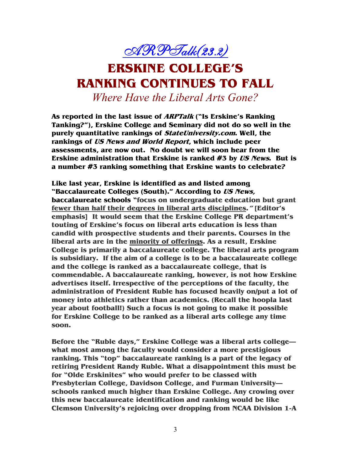

## **ERSKINE COLLEGE'S RANKING CONTINUES TO FALL**

*Where Have the Liberal Arts Gone?* 

**As reported in the last issue of ARPTalk ("Is Erskine's Ranking Tanking?"), Erskine College and Seminary did not do so well in the purely quantitative rankings of StateUniversity.com. Well, the rankings of US News and World Report, which include peer assessments, are now out. No doubt we will soon hear from the Erskine administration that Erskine is ranked #3 by US News. But is a number #3 ranking something that Erskine wants to celebrate?** 

**Like last year, Erskine is identified as and listed among "Baccalaureate Colleges (South)." According to US News, baccalaureate schools "focus on undergraduate education but grant fewer than half their degrees in liberal arts disciplines." [Editor's emphasis] It would seem that the Erskine College PR department's touting of Erskine's focus on liberal arts education is less than candid with prospective students and their parents. Courses in the liberal arts are in the minority of offerings. As a result, Erskine College is primarily a baccalaureate college. The liberal arts program is subsidiary. If the aim of a college is to be a baccalaureate college and the college is ranked as a baccalaureate college, that is commendable. A baccalaureate ranking, however, is not how Erskine advertises itself. Irrespective of the perceptions of the faculty, the administration of President Ruble has focused heavily on/put a lot of money into athletics rather than academics. (Recall the hoopla last year about football!) Such a focus is not going to make it possible for Erskine College to be ranked as a liberal arts college any time soon.** 

**Before the "Ruble days," Erskine College was a liberal arts college what most among the faculty would consider a more prestigious ranking. This "top" baccalaureate ranking is a part of the legacy of retiring President Randy Ruble. What a disappointment this must be for "Olde Erskinites" who would prefer to be classed with Presbyterian College, Davidson College, and Furman University schools ranked much higher than Erskine College. Any crowing over this new baccalaureate identification and ranking would be like Clemson University's rejoicing over dropping from NCAA Division 1-A**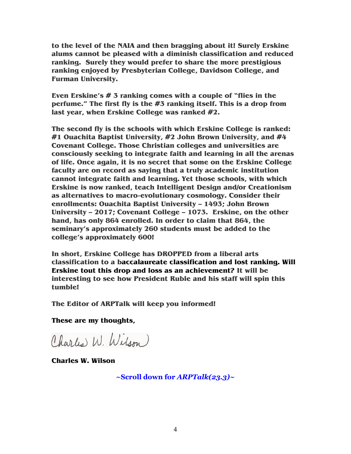**to the level of the NAIA and then bragging about it! Surely Erskine alums cannot be pleased with a diminish classification and reduced ranking. Surely they would prefer to share the more prestigious ranking enjoyed by Presbyterian College, Davidson College, and Furman University.** 

**Even Erskine's # 3 ranking comes with a couple of "flies in the perfume." The first fly is the #3 ranking itself. This is a drop from last year, when Erskine College was ranked #2.** 

**The second fly is the schools with which Erskine College is ranked: #1 Ouachita Baptist University, #2 John Brown University, and #4 Covenant College. Those Christian colleges and universities are consciously seeking to integrate faith and learning in all the arenas of life. Once again, it is no secret that some on the Erskine College faculty are on record as saying that a truly academic institution cannot integrate faith and learning. Yet those schools, with which Erskine is now ranked, teach Intelligent Design and/or Creationism as alternatives to macro-evolutionary cosmology. Consider their enrollments: Ouachita Baptist University – 1493; John Brown University – 2017; Covenant College – 1073. Erskine, on the other hand, has only 864 enrolled. In order to claim that 864, the seminary's approximately 260 students must be added to the college's approximately 600!** 

**In short, Erskine College has DROPPED from a liberal arts classification to a baccalaureate classification and lost ranking. Will Erskine tout this drop and loss as an achievement? It will be interesting to see how President Ruble and his staff will spin this tumble!** 

**The Editor of ARPTalk will keep you informed!** 

**These are my thoughts,** 

Charles W. Wilson

**Charles W. Wilson** 

**~Scroll down for** *ARPTalk(23.3)~*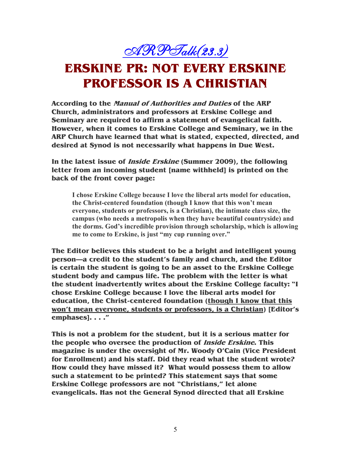$\triangleleft \mathcal{R} \mathcal{P}$ Talk $(23.3)$ 

## **ERSKINE PR: NOT EVERY ERSKINE PROFESSOR IS A CHRISTIAN**

**According to the Manual of Authorities and Duties of the ARP Church, administrators and professors at Erskine College and Seminary are required to affirm a statement of evangelical faith. However, when it comes to Erskine College and Seminary, we in the ARP Church have learned that what is stated, expected, directed, and desired at Synod is not necessarily what happens in Due West.** 

**In the latest issue of Inside Erskine (Summer 2009), the following letter from an incoming student [name withheld] is printed on the back of the front cover page:** 

**I chose Erskine College because I love the liberal arts model for education, the Christ-centered foundation (though I know that this won't mean everyone, students or professors, is a Christian), the intimate class size, the campus (who needs a metropolis when they have beautiful countryside) and the dorms. God's incredible provision through scholarship, which is allowing me to come to Erskine, is just "my cup running over."** 

**The Editor believes this student to be a bright and intelligent young person—a credit to the student's family and church, and the Editor is certain the student is going to be an asset to the Erskine College student body and campus life. The problem with the letter is what the student inadvertently writes about the Erskine College faculty: "I chose Erskine College because I love the liberal arts model for education, the Christ-centered foundation (though I know that this won't mean everyone, students or professors, is a Christian) [Editor's emphases]. . . ."** 

**This is not a problem for the student, but it is a serious matter for the people who oversee the production of Inside Erskine. This magazine is under the oversight of Mr. Woody O'Cain (Vice President for Enrollment) and his staff. Did they read what the student wrote? How could they have missed it? What would possess them to allow such a statement to be printed? This statement says that some Erskine College professors are not "Christians," let alone evangelicals. Has not the General Synod directed that all Erskine**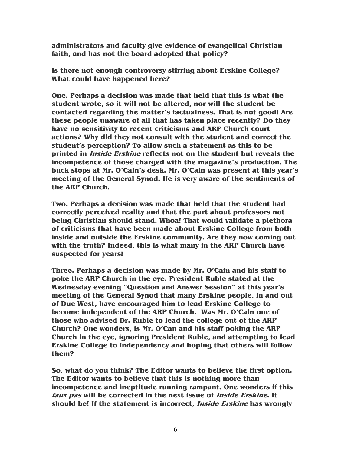**administrators and faculty give evidence of evangelical Christian faith, and has not the board adopted that policy?** 

**Is there not enough controversy stirring about Erskine College? What could have happened here?** 

**One. Perhaps a decision was made that held that this is what the student wrote, so it will not be altered, nor will the student be contacted regarding the matter's factualness. That is not good! Are these people unaware of all that has taken place recently? Do they have no sensitivity to recent criticisms and ARP Church court actions? Why did they not consult with the student and correct the student's perception? To allow such a statement as this to be printed in Inside Erskine reflects not on the student but reveals the incompetence of those charged with the magazine's production. The buck stops at Mr. O'Cain's desk. Mr. O'Cain was present at this year's meeting of the General Synod. He is very aware of the sentiments of the ARP Church.** 

**Two. Perhaps a decision was made that held that the student had correctly perceived reality and that the part about professors not being Christian should stand. Whoa! That would validate a plethora of criticisms that have been made about Erskine College from both inside and outside the Erskine community. Are they now coming out with the truth? Indeed, this is what many in the ARP Church have suspected for years!** 

**Three. Perhaps a decision was made by Mr. O'Cain and his staff to poke the ARP Church in the eye. President Ruble stated at the Wednesday evening "Question and Answer Session" at this year's meeting of the General Synod that many Erskine people, in and out of Due West, have encouraged him to lead Erskine College to become independent of the ARP Church. Was Mr. O'Cain one of those who advised Dr. Ruble to lead the college out of the ARP Church? One wonders, is Mr. O'Can and his staff poking the ARP Church in the eye, ignoring President Ruble, and attempting to lead Erskine College to independency and hoping that others will follow them?** 

**So, what do you think? The Editor wants to believe the first option. The Editor wants to believe that this is nothing more than incompetence and ineptitude running rampant. One wonders if this faux pas will be corrected in the next issue of Inside Erskine. It should be! If the statement is incorrect, Inside Erskine has wrongly**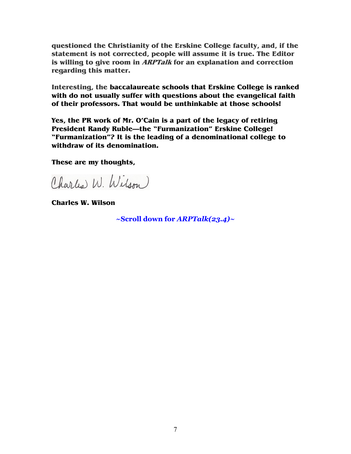**questioned the Christianity of the Erskine College faculty, and, if the statement is not corrected, people will assume it is true. The Editor is willing to give room in ARPTalk for an explanation and correction regarding this matter.** 

**Interesting, the baccalaureate schools that Erskine College is ranked with do not usually suffer with questions about the evangelical faith of their professors. That would be unthinkable at those schools!** 

**Yes, the PR work of Mr. O'Cain is a part of the legacy of retiring President Randy Ruble—the "Furmanization" Erskine College! "Furmanization"? It is the leading of a denominational college to withdraw of its denomination.** 

**These are my thoughts,** 

Charles W. Wilson

**Charles W. Wilson** 

**~Scroll down for** *ARPTalk(23.4)~*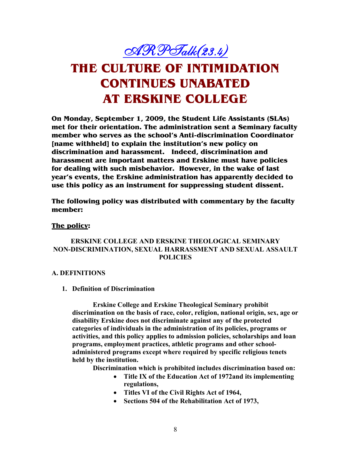$\triangleleft R$ PTalk $(23.4)$ 

## **THE CULTURE OF INTIMIDATION CONTINUES UNABATED AT ERSKINE COLLEGE**

**On Monday, September 1, 2009, the Student Life Assistants (SLAs) met for their orientation. The administration sent a Seminary faculty member who serves as the school's Anti-discrimination Coordinator [name withheld] to explain the institution's new policy on discrimination and harassment. Indeed, discrimination and harassment are important matters and Erskine must have policies for dealing with such misbehavior. However, in the wake of last year's events, the Erskine administration has apparently decided to use this policy as an instrument for suppressing student dissent.** 

**The following policy was distributed with commentary by the faculty member:** 

#### **The policy:**

### **ERSKINE COLLEGE AND ERSKINE THEOLOGICAL SEMINARY O -DISCRIMI ATIO , SEXUAL HARRASSME T A D SEXUAL ASSAULT POLICIES**

#### **A. DEFI ITIO S**

#### **1. Definition of Discrimination**

**Erskine College and Erskine Theological Seminary prohibit discrimination on the basis of race, color, religion, national origin, sex, age or disability Erskine does not discriminate against any of the protected categories of individuals in the administration of its policies, programs or activities, and this policy applies to admission policies, scholarships and loan programs, employment practices, athletic programs and other schooladministered programs except where required by specific religious tenets held by the institution.** 

**Discrimination which is prohibited includes discrimination based on:** 

- **Title IX of the Education Act of 1972and its implementing regulations,**
- **Titles VI of the Civil Rights Act of 1964,**
- **Sections 504 of the Rehabilitation Act of 1973,**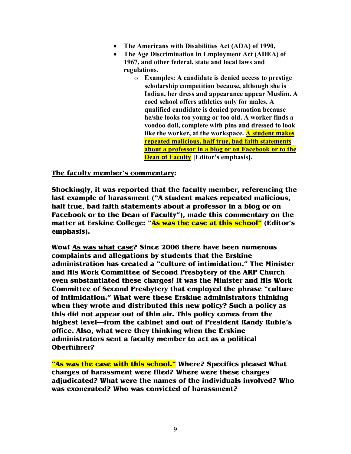- **The Americans with Disabilities Act (ADA) of 1990,**
- **The Age Discrimination in Employment Act (ADEA) of 1967, and other federal, state and local laws and regulations.** 
	- o **Examples: A candidate is denied access to prestige scholarship competition because, although she is Indian, her dress and appearance appear Muslim. A coed school offers athletics only for males. A qualified candidate is denied promotion because he/she looks too young or too old. A worker finds a voodoo doll, complete with pins and dressed to look like the worker, at the workspace. A student makes repeated malicious, half true, bad faith statements about a professor in a blog or on Facebook or to the Dean of Faculty [Editor's emphasis].**

**The faculty member's commentary:** 

**Shockingly, it was reported that the faculty member, referencing the last example of harassment ("A student makes repeated malicious, half true, bad faith statements about a professor in a blog or on Facebook or to the Dean of Faculty"), made this commentary on the matter at Erskine College: "As was the case at this school" (Editor's emphasis).** 

**Wow! As was what case? Since 2006 there have been numerous complaints and allegations by students that the Erskine administration has created a "culture of intimidation." The Minister and His Work Committee of Second Presbytery of the ARP Church even substantiated these charges! It was the Minister and His Work Committee of Second Presbytery that employed the phrase "culture of intimidation." What were these Erskine administrators thinking when they wrote and distributed this new policy? Such a policy as this did not appear out of thin air. This policy comes from the highest level—from the cabinet and out of President Randy Ruble's office. Also, what were they thinking when the Erskine administrators sent a faculty member to act as a political Oberführer?** 

**"As was the case with this school." Where? Specifics please! What charges of harassment were filed? Where were these charges adjudicated? What were the names of the individuals involved? Who was exonerated? Who was convicted of harassment?**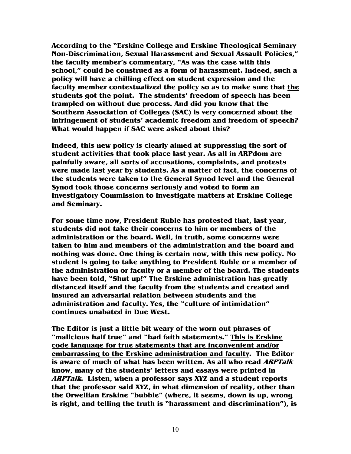**According to the "Erskine College and Erskine Theological Seminary Non-Discrimination, Sexual Harassment and Sexual Assault Policies," the faculty member's commentary, "As was the case with this school," could be construed as a form of harassment. Indeed, such a policy will have a chilling effect on student expression and the faculty member contextualized the policy so as to make sure that the students got the point. The students' freedom of speech has been trampled on without due process. And did you know that the Southern Association of Colleges (SAC) is very concerned about the infringement of students' academic freedom and freedom of speech? What would happen if SAC were asked about this?** 

**Indeed, this new policy is clearly aimed at suppressing the sort of student activities that took place last year. As all in ARPdom are painfully aware, all sorts of accusations, complaints, and protests were made last year by students. As a matter of fact, the concerns of the students were taken to the General Synod level and the General Synod took those concerns seriously and voted to form an Investigatory Commission to investigate matters at Erskine College and Seminary.** 

**For some time now, President Ruble has protested that, last year, students did not take their concerns to him or members of the administration or the board. Well, in truth, some concerns were taken to him and members of the administration and the board and nothing was done. One thing is certain now, with this new policy. No student is going to take anything to President Ruble or a member of the administration or faculty or a member of the board. The students have been told, "Shut up!" The Erskine administration has greatly distanced itself and the faculty from the students and created and insured an adversarial relation between students and the administration and faculty. Yes, the "culture of intimidation" continues unabated in Due West.** 

**The Editor is just a little bit weary of the worn out phrases of "malicious half true" and "bad faith statements." This is Erskine code language for true statements that are inconvenient and/or embarrassing to the Erskine administration and faculty. The Editor is aware of much of what has been written. As all who read ARPTalk know, many of the students' letters and essays were printed in ARPTalk. Listen, when a professor says XYZ and a student reports that the professor said XYZ, in what dimension of reality, other than the Orwellian Erskine "bubble" (where, it seems, down is up, wrong is right, and telling the truth is "harassment and discrimination"), is**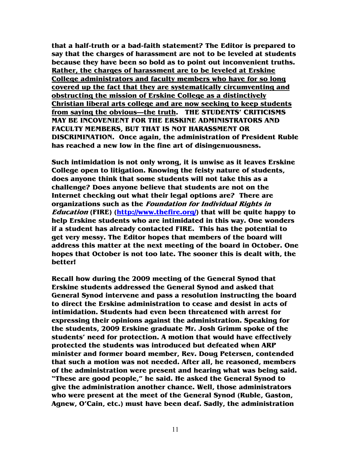**that a half-truth or a bad-faith statement? The Editor is prepared to say that the charges of harassment are not to be leveled at students because they have been so bold as to point out inconvenient truths. Rather, the charges of harassment are to be leveled at Erskine College administrators and faculty members who have for so long covered up the fact that they are systematically circumventing and obstructing the mission of Erskine College as a distinctively Christian liberal arts college and are now seeking to keep students from saying the obvious—the truth. THE STUDENTS' CRITICISMS MAY BE INCOVENIENT FOR THE ERSKINE ADMINISTRATORS AND FACULTY MEMBERS, BUT THAT IS NOT HARASSMENT OR DISCRIMINATION. Once again, the administration of President Ruble has reached a new low in the fine art of disingenuousness.** 

**Such intimidation is not only wrong, it is unwise as it leaves Erskine College open to litigation. Knowing the feisty nature of students, does anyone think that some students will not take this as a challenge? Does anyone believe that students are not on the Internet checking out what their legal options are? There are organizations such as the Foundation for Individual Rights in Education (FIRE) (http://www.thefire.org/) that will be quite happy to help Erskine students who are intimidated in this way. One wonders if a student has already contacted FIRE. This has the potential to get very messy. The Editor hopes that members of the board will address this matter at the next meeting of the board in October. One hopes that October is not too late. The sooner this is dealt with, the better!** 

**Recall how during the 2009 meeting of the General Synod that Erskine students addressed the General Synod and asked that General Synod intervene and pass a resolution instructing the board to direct the Erskine administration to cease and desist in acts of intimidation. Students had even been threatened with arrest for expressing their opinions against the administration. Speaking for the students, 2009 Erskine graduate Mr. Josh Grimm spoke of the students' need for protection. A motion that would have effectively protected the students was introduced but defeated when ARP minister and former board member, Rev. Doug Petersen, contended that such a motion was not needed. After all, he reasoned, members of the administration were present and hearing what was being said. "These are good people," he said. He asked the General Synod to give the administration another chance. Well, those administrators who were present at the meet of the General Synod (Ruble, Gaston, Agnew, O'Cain, etc.) must have been deaf. Sadly, the administration**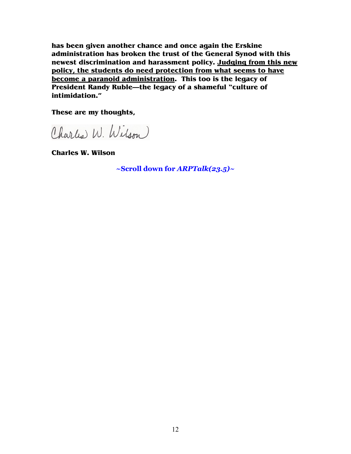**has been given another chance and once again the Erskine administration has broken the trust of the General Synod with this newest discrimination and harassment policy. Judging from this new policy, the students do need protection from what seems to have become a paranoid administration. This too is the legacy of President Randy Ruble—the legacy of a shameful "culture of intimidation."** 

**These are my thoughts,** 

Charles W. Wilson

**Charles W. Wilson** 

**~Scroll down for** *ARPTalk(23.5)~*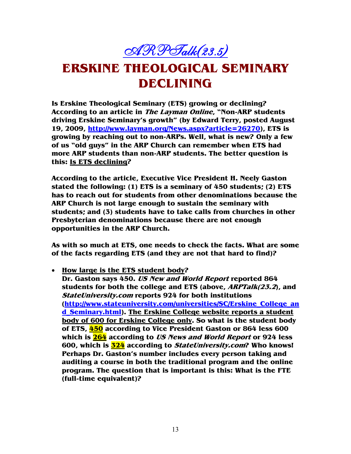# $\mathscr{ARPH}\hspace{-0.01cm}\mathscr{H}\hspace{-0.01cm}\mathscr{H}\mathscr{H}\mathscr{H}\mathscr{H}\hspace{-0.01cm}\mathscr{H}^{2}(23.5)$

# **ERSKINE THEOLOGICAL SEMINARY DECLINING**

**Is Erskine Theological Seminary (ETS) growing or declining? According to an article in The Layman Online, "Non-ARP students driving Erskine Seminary's growth" (by Edward Terry, posted August 19, 2009, http://www.layman.org/News.aspx?article=26270), ETS is growing by reaching out to non-ARPs. Well, what is new? Only a few of us "old guys" in the ARP Church can remember when ETS had more ARP students than non-ARP students. The better question is this: Is ETS declining?** 

**According to the article, Executive Vice President H. Neely Gaston stated the following: (1) ETS is a seminary of 450 students; (2) ETS has to reach out for students from other denominations because the ARP Church is not large enough to sustain the seminary with students; and (3) students have to take calls from churches in other Presbyterian denominations because there are not enough opportunities in the ARP Church.** 

**As with so much at ETS, one needs to check the facts. What are some of the facts regarding ETS (and they are not that hard to find)?** 

• **How large is the ETS student body?** 

**Dr. Gaston says 450. US New and World Report reported 864 students for both the college and ETS (above, ARPTalk(23.2), and StateUniversity.com reports 924 for both institutions (http://www.stateuniversity.com/universities/SC/Erskine\_College\_an d\_Seminary.html). The Erskine College website reports a student body of 600 for Erskine College only. So what is the student body of ETS, 450 according to Vice President Gaston or 864 less 600 which is 264 according to US News and World Report or 924 less 600, which is 324 according to StateUniversity.com? Who knows! Perhaps Dr. Gaston's number includes every person taking and auditing a course in both the traditional program and the online program. The question that is important is this: What is the FTE (full-time equivalent)?**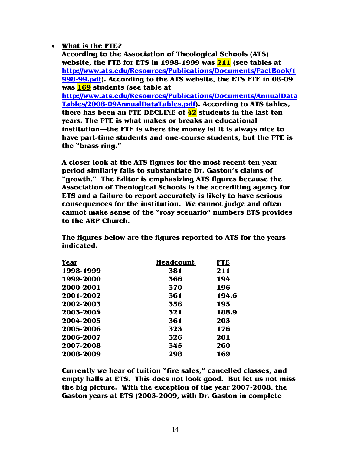### • **What is the FTE?**

**According to the Association of Theological Schools (ATS) website, the FTE for ETS in 1998-1999 was 211 (see tables at http://www.ats.edu/Resources/Publications/Documents/FactBook/1 998-99.pdf). According to the ATS website, the ETS FTE in 08-09 was 169 students (see table at http://www.ats.edu/Resources/Publications/Documents/AnnualData Tables/2008-09AnnualDataTables.pdf). According to ATS tables, there has been an FTE DECLINE of 42 students in the last ten years. The FTE is what makes or breaks an educational institution—the FTE is where the money is! It is always nice to have part-time students and one-course students, but the FTE is the "brass ring."** 

**A closer look at the ATS figures for the most recent ten-year period similarly fails to substantiate Dr. Gaston's claims of "growth." The Editor is emphasizing ATS figures because the Association of Theological Schools is the accrediting agency for ETS and a failure to report accurately is likely to have serious consequences for the institution. We cannot judge and often cannot make sense of the "rosy scenario" numbers ETS provides to the ARP Church.** 

| Year      | <b>Headcount</b> | <b>FTE</b> |
|-----------|------------------|------------|
| 1998-1999 | 381              | 211        |
| 1999-2000 | 366              | 194        |
| 2000-2001 | 370              | 196        |
| 2001-2002 | 361              | 194.6      |
| 2002-2003 | 356              | 195        |
| 2003-2004 | 321              | 188.9      |
| 2004-2005 | 361              | 203        |
| 2005-2006 | 323              | 176        |
| 2006-2007 | 326              | 201        |
| 2007-2008 | 345              | 260        |
| 2008-2009 | 298              | 169        |

**The figures below are the figures reported to ATS for the years indicated.** 

**Currently we hear of tuition "fire sales," cancelled classes, and empty halls at ETS. This does not look good. But let us not miss the big picture. With the exception of the year 2007-2008, the Gaston years at ETS (2003-2009, with Dr. Gaston in complete**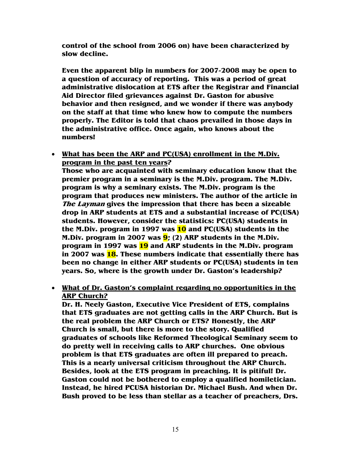**control of the school from 2006 on) have been characterized by slow decline.** 

**Even the apparent blip in numbers for 2007-2008 may be open to a question of accuracy of reporting. This was a period of great administrative dislocation at ETS after the Registrar and Financial Aid Director filed grievances against Dr. Gaston for abusive behavior and then resigned, and we wonder if there was anybody on the staff at that time who knew how to compute the numbers properly. The Editor is told that chaos prevailed in those days in the administrative office. Once again, who knows about the numbers!** 

• **What has been the ARP and PC(USA) enrollment in the M.Div. program in the past ten years?** 

**Those who are acquainted with seminary education know that the premier program in a seminary is the M.Div. program. The M.Div. program is why a seminary exists. The M.Div. program is the program that produces new ministers. The author of the article in The Layman gives the impression that there has been a sizeable drop in ARP students at ETS and a substantial increase of PC(USA) students. However, consider the statistics: PC(USA) students in the M.Div. program in 1997 was 10 and PC(USA) students in the M.Div. program in 2007 was 9; (2) ARP students in the M.Div. program in 1997 was 19 and ARP students in the M.Div. program in 2007 was 18. These numbers indicate that essentially there has been no change in either ARP students or PC(USA) students in ten years. So, where is the growth under Dr. Gaston's leadership?** 

### • **What of Dr. Gaston's complaint regarding no opportunities in the ARP Church?**

**Dr. H. Neely Gaston, Executive Vice President of ETS, complains that ETS graduates are not getting calls in the ARP Church. But is the real problem the ARP Church or ETS? Honestly, the ARP Church is small, but there is more to the story. Qualified graduates of schools like Reformed Theological Seminary seem to do pretty well in receiving calls to ARP churches. One obvious problem is that ETS graduates are often ill prepared to preach. This is a nearly universal criticism throughout the ARP Church. Besides, look at the ETS program in preaching. It is pitiful! Dr. Gaston could not be bothered to employ a qualified homiletician. Instead, he hired PCUSA historian Dr. Michael Bush. And when Dr. Bush proved to be less than stellar as a teacher of preachers, Drs.**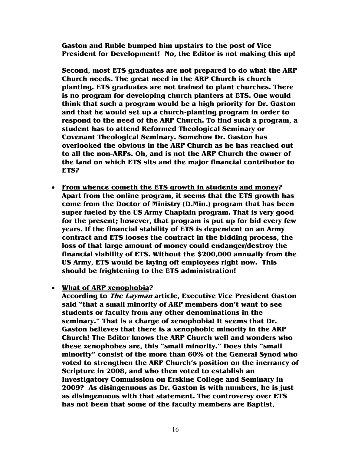**Gaston and Ruble bumped him upstairs to the post of Vice President for Development! No, the Editor is not making this up!** 

**Second, most ETS graduates are not prepared to do what the ARP Church needs. The great need in the ARP Church is church planting. ETS graduates are not trained to plant churches. There is no program for developing church planters at ETS. One would think that such a program would be a high priority for Dr. Gaston and that he would set up a church-planting program in order to respond to the need of the ARP Church. To find such a program, a student has to attend Reformed Theological Seminary or Covenant Theological Seminary. Somehow Dr. Gaston has overlooked the obvious in the ARP Church as he has reached out to all the non-ARPs. Oh, and is not the ARP Church the owner of the land on which ETS sits and the major financial contributor to ETS?** 

- **From whence cometh the ETS growth in students and money? Apart from the online program, it seems that the ETS growth has come from the Doctor of Ministry (D.Min.) program that has been super fueled by the US Army Chaplain program. That is very good for the present; however, that program is put up for bid every few years. If the financial stability of ETS is dependent on an Army contract and ETS looses the contract in the bidding process, the loss of that large amount of money could endanger/destroy the financial viability of ETS. Without the \$200,000 annually from the US Army, ETS would be laying off employees right now. This should be frightening to the ETS administration!**
- **What of ARP xenophobia?**

**According to The Layman article, Executive Vice President Gaston said "that a small minority of ARP members don't want to see students or faculty from any other denominations in the seminary." That is a charge of xenophobia! It seems that Dr. Gaston believes that there is a xenophobic minority in the ARP Church! The Editor knows the ARP Church well and wonders who these xenophobes are, this "small minority." Does this "small minority" consist of the more than 60% of the General Synod who voted to strengthen the ARP Church's position on the inerrancy of Scripture in 2008, and who then voted to establish an Investigatory Commission on Erskine College and Seminary in 2009? As disingenuous as Dr. Gaston is with numbers, he is just as disingenuous with that statement. The controversy over ETS has not been that some of the faculty members are Baptist,**